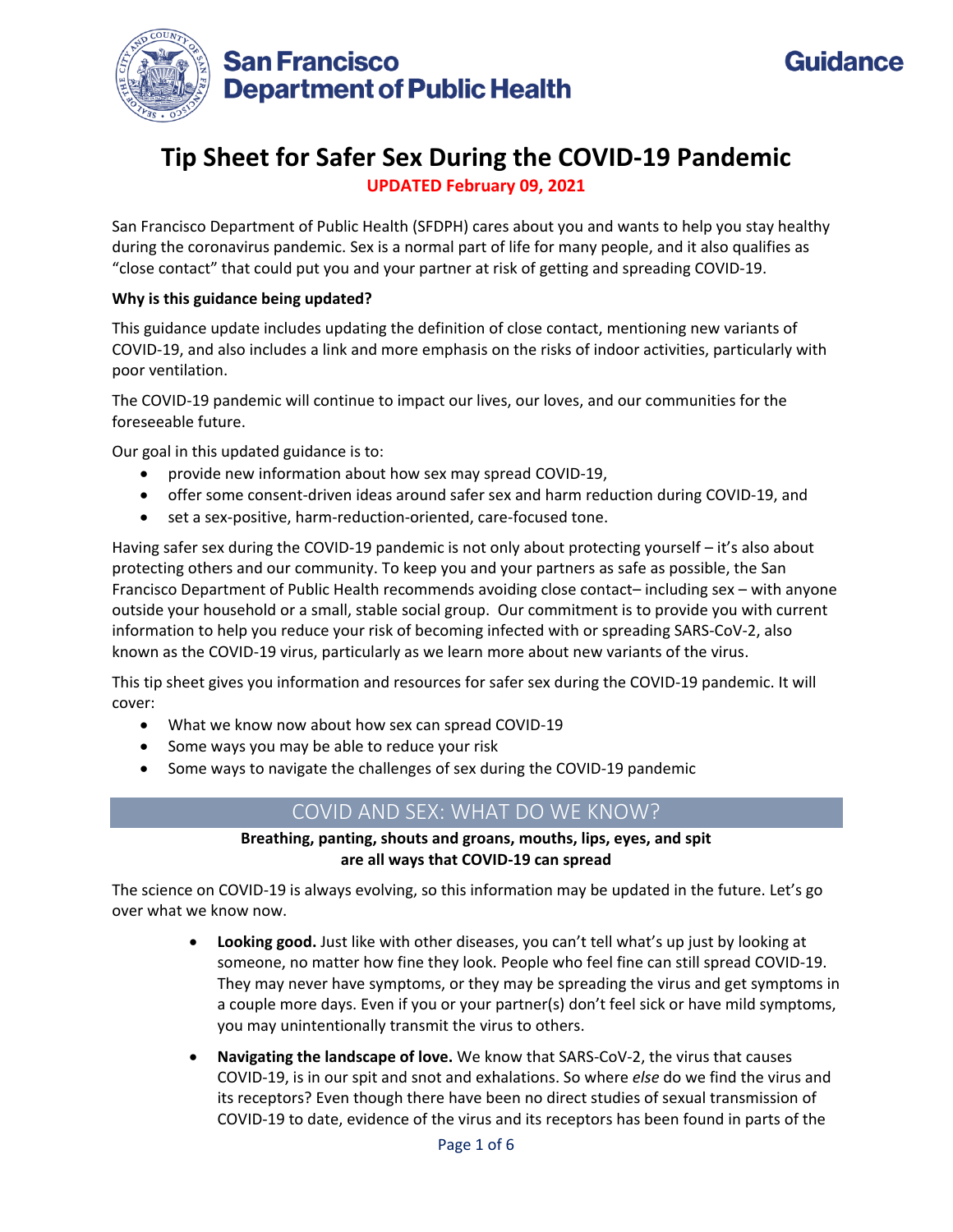

### **Tip Sheet for Safer Sex During the COVID-19 Pandemic**

**UPDATED February 09, 2021**

San Francisco Department of Public Health (SFDPH) cares about you and wants to help you stay healthy during the coronavirus pandemic. Sex is a normal part of life for many people, and it also qualifies as "close contact" that could put you and your partner at risk of getting and spreading COVID-19.

#### **Why is this guidance being updated?**

This guidance update includes updating the definition of close contact, mentioning new variants of COVID-19, and also includes a link and more emphasis on the risks of indoor activities, particularly with poor ventilation.

The COVID-19 pandemic will continue to impact our lives, our loves, and our communities for the foreseeable future.

Our goal in this updated guidance is to:

- provide new information about how sex may spread COVID-19,
- offer some consent-driven ideas around safer sex and harm reduction during COVID-19, and
- set a sex-positive, harm-reduction-oriented, care-focused tone.

Having safer sex during the COVID-19 pandemic is not only about protecting yourself – it's also about protecting others and our community. To keep you and your partners as safe as possible, the San Francisco Department of Public Health recommends avoiding close contact– including sex – with anyone outside your household or a small, stable social group. Our commitment is to provide you with current information to help you reduce your risk of becoming infected with or spreading SARS-CoV-2, also known as the COVID-19 virus, particularly as we learn more about new variants of the virus.

This tip sheet gives you information and resources for safer sex during the COVID-19 pandemic. It will cover:

- What we know now about how sex can spread COVID-19
- Some ways you may be able to reduce your risk
- Some ways to navigate the challenges of sex during the COVID-19 pandemic

### COVID AND SEX: WHAT DO WE KNOW?

#### **Breathing, panting, shouts and groans, mouths, lips, eyes, and spit are all ways that COVID-19 can spread**

The science on COVID-19 is always evolving, so this information may be updated in the future. Let's go over what we know now.

- **Looking good.** Just like with other diseases, you can't tell what's up just by looking at someone, no matter how fine they look. People who feel fine can still spread COVID-19. They may never have symptoms, or they may be spreading the virus and get symptoms in a couple more days. Even if you or your partner(s) don't feel sick or have mild symptoms, you may unintentionally transmit the virus to others.
- **Navigating the landscape of love.** We know that SARS-CoV-2, the virus that causes COVID-19, is in our spit and snot and exhalations. So where *else* do we find the virus and its receptors? Even though there have been no direct studies of sexual transmission of COVID-19 to date, evidence of the virus and its receptors has been found in parts of the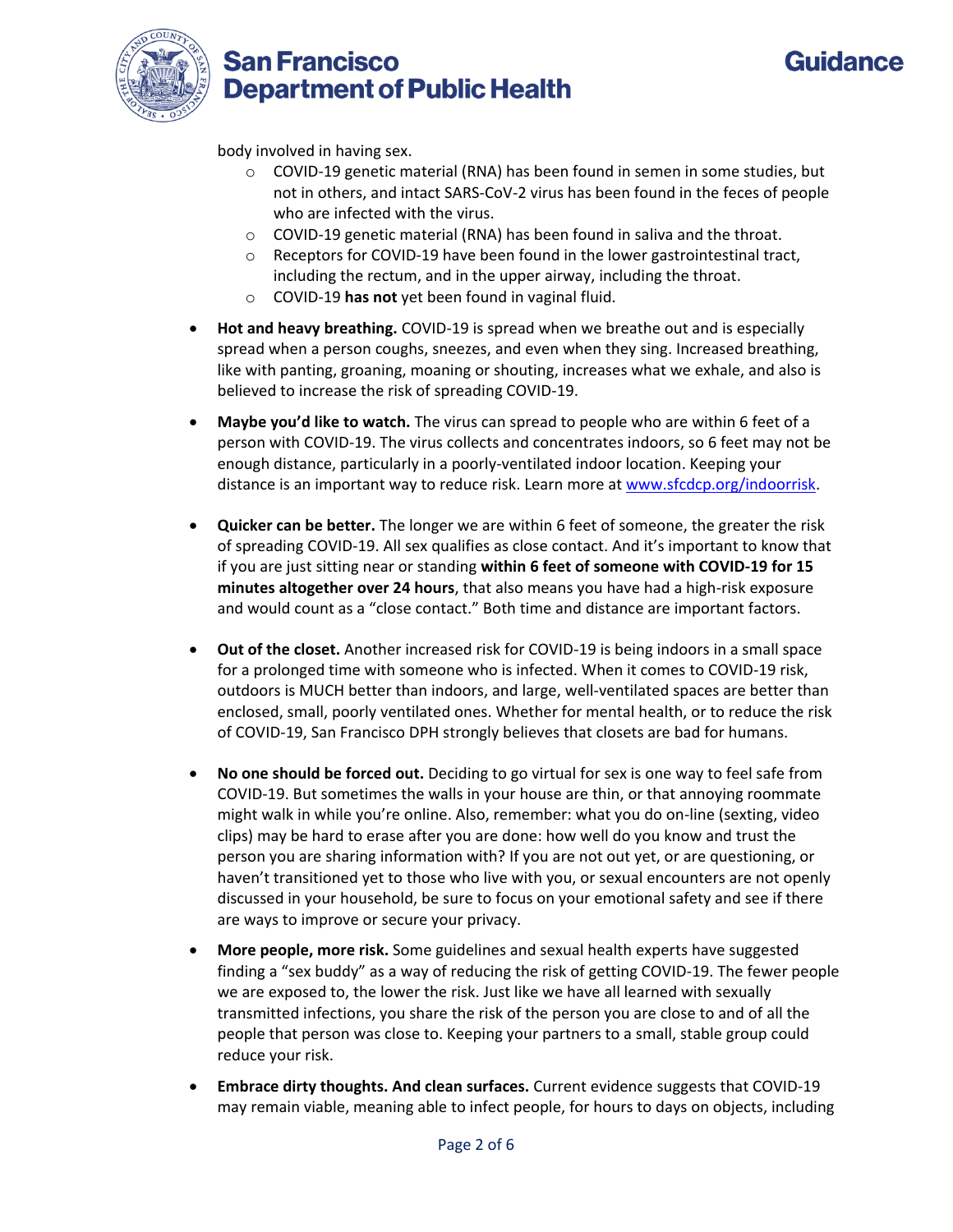

# Guidance

body involved in having sex.

- o COVID-19 genetic material (RNA) has been found in semen in some studies, but not in others, and intact SARS-CoV-2 virus has been found in the feces of people who are infected with the virus.
- o COVID-19 genetic material (RNA) has been found in saliva and the throat.
- o Receptors for COVID-19 have been found in the lower gastrointestinal tract, including the rectum, and in the upper airway, including the throat.
- o COVID-19 **has not** yet been found in vaginal fluid.
- **Hot and heavy breathing.** COVID-19 is spread when we breathe out and is especially spread when a person coughs, sneezes, and even when they sing. Increased breathing, like with panting, groaning, moaning or shouting, increases what we exhale, and also is believed to increase the risk of spreading COVID-19.
- **Maybe you'd like to watch.** The virus can spread to people who are within 6 feet of a person with COVID-19. The virus collects and concentrates indoors, so 6 feet may not be enough distance, particularly in a poorly-ventilated indoor location. Keeping your distance is an important way to reduce risk. Learn more at [www.sfcdcp.org/indoorrisk.](http://www.sfcdcp.org/indoorrisk)
- **Quicker can be better.** The longer we are within 6 feet of someone, the greater the risk of spreading COVID-19. All sex qualifies as close contact. And it's important to know that if you are just sitting near or standing **within 6 feet of someone with COVID-19 for 15 minutes altogether over 24 hours**, that also means you have had a high-risk exposure and would count as a "close contact." Both time and distance are important factors.
- **Out of the closet.** Another increased risk for COVID-19 is being indoors in a small space for a prolonged time with someone who is infected. When it comes to COVID-19 risk, outdoors is MUCH better than indoors, and large, well-ventilated spaces are better than enclosed, small, poorly ventilated ones. Whether for mental health, or to reduce the risk of COVID-19, San Francisco DPH strongly believes that closets are bad for humans.
- **No one should be forced out.** Deciding to go virtual for sex is one way to feel safe from COVID-19. But sometimes the walls in your house are thin, or that annoying roommate might walk in while you're online. Also, remember: what you do on-line (sexting, video clips) may be hard to erase after you are done: how well do you know and trust the person you are sharing information with? If you are not out yet, or are questioning, or haven't transitioned yet to those who live with you, or sexual encounters are not openly discussed in your household, be sure to focus on your emotional safety and see if there are ways to improve or secure your privacy.
- **More people, more risk.** Some guidelines and sexual health experts have suggested finding a "sex buddy" as a way of reducing the risk of getting COVID-19. The fewer people we are exposed to, the lower the risk. Just like we have all learned with sexually transmitted infections, you share the risk of the person you are close to and of all the people that person was close to. Keeping your partners to a small, stable group could reduce your risk.
- **Embrace dirty thoughts. And clean surfaces.** Current evidence suggests that COVID-19 may remain viable, meaning able to infect people, for hours to days on objects, including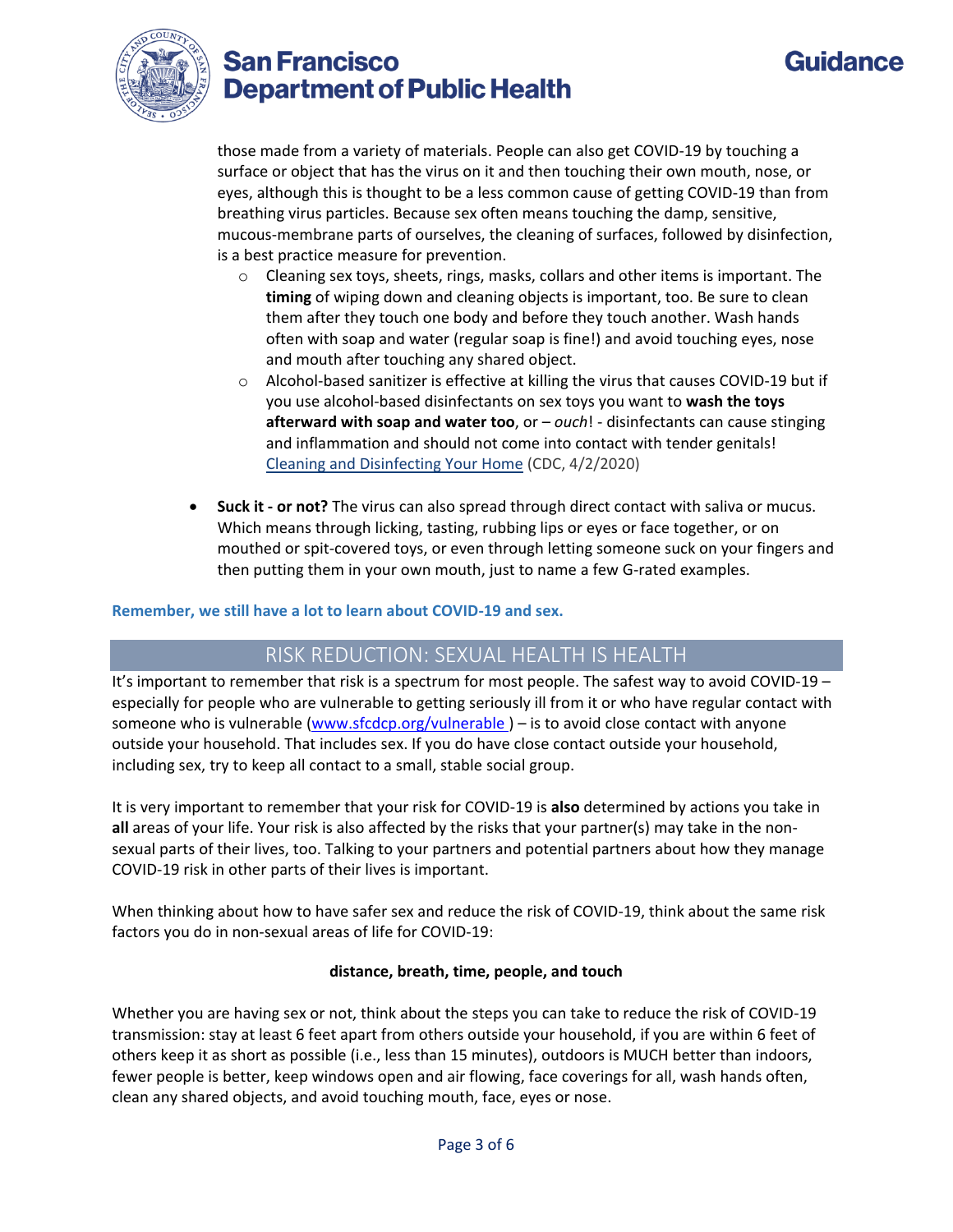

# Guidance

those made from a variety of materials. People can also get COVID-19 by touching a surface or object that has the virus on it and then touching their own mouth, nose, or eyes, although this is thought to be a less common cause of getting COVID-19 than from breathing virus particles. Because sex often means touching the damp, sensitive, mucous-membrane parts of ourselves, the cleaning of surfaces, followed by disinfection, is a best practice measure for prevention.

- $\circ$  Cleaning sex toys, sheets, rings, masks, collars and other items is important. The **timing** of wiping down and cleaning objects is important, too. Be sure to clean them after they touch one body and before they touch another. Wash hands often with soap and water (regular soap is fine!) and avoid touching eyes, nose and mouth after touching any shared object.
- $\circ$  Alcohol-based sanitizer is effective at killing the virus that causes COVID-19 but if you use alcohol-based disinfectants on sex toys you want to **wash the toys afterward with soap and water too**, or – *ouch*! - disinfectants can cause stinging and inflammation and should not come into contact with tender genitals! [Cleaning and Disinfecting Your Home](https://www.cdc.gov/coronavirus/2019-ncov/prevent-getting-sick/disinfecting-your-home.html) (CDC, 4/2/2020)
- **Suck it - or not?** The virus can also spread through direct contact with saliva or mucus. Which means through licking, tasting, rubbing lips or eyes or face together, or on mouthed or spit-covered toys, or even through letting someone suck on your fingers and then putting them in your own mouth, just to name a few G-rated examples.

#### **Remember, we still have a lot to learn about COVID-19 and sex.**

### RISK REDUCTION: SEXUAL HEALTH IS HEALTH

It's important to remember that risk is a spectrum for most people. The safest way to avoid COVID-19 – especially for people who are vulnerable to getting seriously ill from it or who have regular contact with someone who is vulnerable [\(www.sfcdcp.org/vulnerable](http://www.sfcdcp.org/vulnerable)) – is to avoid close contact with anyone outside your household. That includes sex. If you do have close contact outside your household, including sex, try to keep all contact to a small, stable social group.

It is very important to remember that your risk for COVID-19 is **also** determined by actions you take in **all** areas of your life. Your risk is also affected by the risks that your partner(s) may take in the nonsexual parts of their lives, too. Talking to your partners and potential partners about how they manage COVID-19 risk in other parts of their lives is important.

When thinking about how to have safer sex and reduce the risk of COVID-19, think about the same risk factors you do in non-sexual areas of life for COVID-19:

#### **distance, breath, time, people, and touch**

Whether you are having sex or not, think about the steps you can take to reduce the risk of COVID-19 transmission: stay at least 6 feet apart from others outside your household, if you are within 6 feet of others keep it as short as possible (i.e., less than 15 minutes), outdoors is MUCH better than indoors, fewer people is better, keep windows open and air flowing, face coverings for all, wash hands often, clean any shared objects, and avoid touching mouth, face, eyes or nose.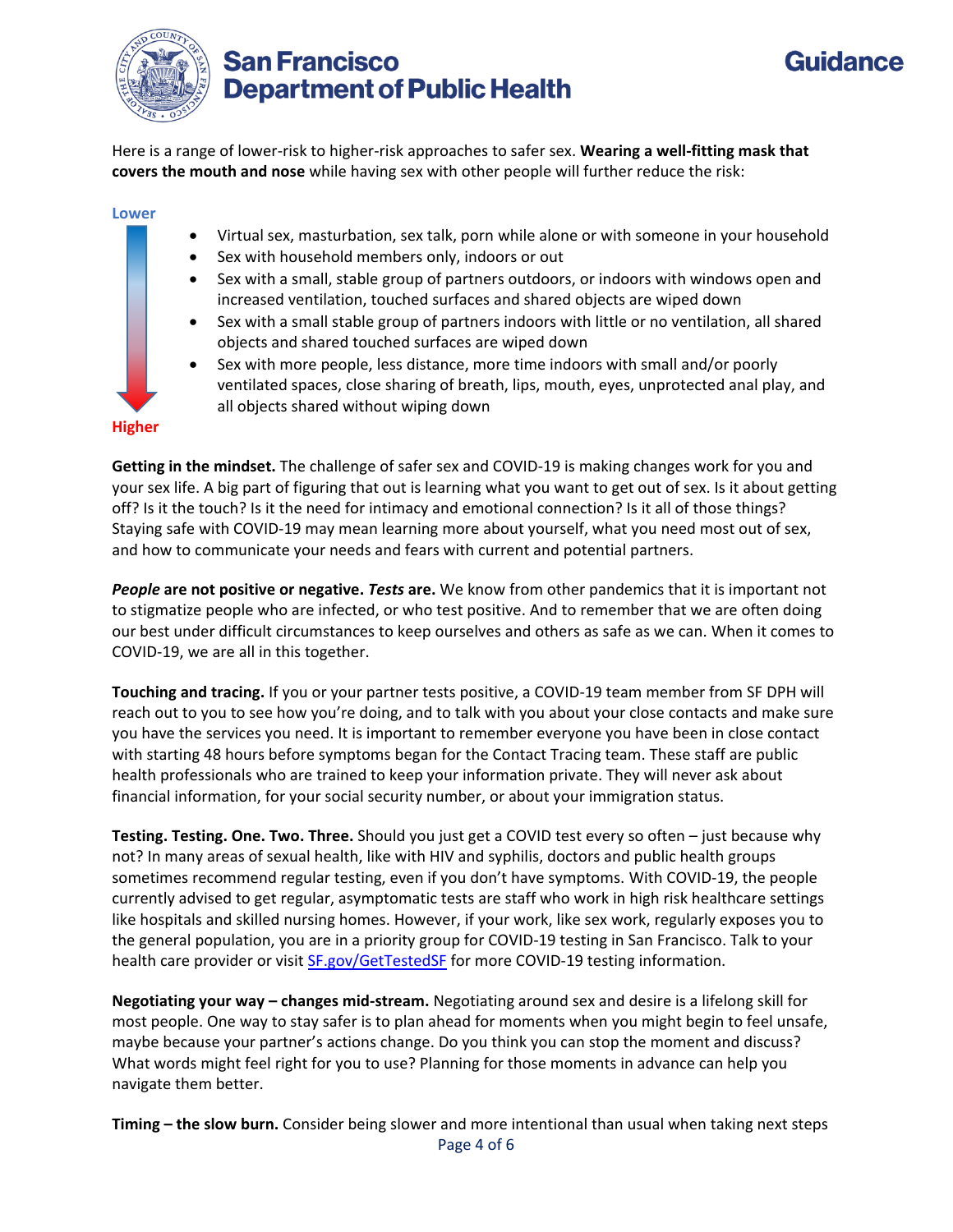



Here is a range of lower-risk to higher-risk approaches to safer sex. **Wearing a well-fitting mask that covers the mouth and nose** while having sex with other people will further reduce the risk:

#### **Lower**

- Virtual sex, masturbation, sex talk, porn while alone or with someone in your household
- Sex with household members only, indoors or out
- Sex with a small, stable group of partners outdoors, or indoors with windows open and increased ventilation, touched surfaces and shared objects are wiped down
- Sex with a small stable group of partners indoors with little or no ventilation, all shared objects and shared touched surfaces are wiped down
- Sex with more people, less distance, more time indoors with small and/or poorly ventilated spaces, close sharing of breath, lips, mouth, eyes, unprotected anal play, and all objects shared without wiping down

#### **Higher**

**Getting in the mindset.** The challenge of safer sex and COVID-19 is making changes work for you and your sex life. A big part of figuring that out is learning what you want to get out of sex. Is it about getting off? Is it the touch? Is it the need for intimacy and emotional connection? Is it all of those things? Staying safe with COVID-19 may mean learning more about yourself, what you need most out of sex, and how to communicate your needs and fears with current and potential partners.

*People* **are not positive or negative.** *Tests* **are.** We know from other pandemics that it is important not to stigmatize people who are infected, or who test positive. And to remember that we are often doing our best under difficult circumstances to keep ourselves and others as safe as we can. When it comes to COVID-19, we are all in this together.

**Touching and tracing.** If you or your partner tests positive, a COVID-19 team member from SF DPH will reach out to you to see how you're doing, and to talk with you about your close contacts and make sure you have the services you need. It is important to remember everyone you have been in close contact with starting 48 hours before symptoms began for the Contact Tracing team. These staff are public health professionals who are trained to keep your information private. They will never ask about financial information, for your social security number, or about your immigration status.

**Testing. Testing. One. Two. Three.** Should you just get a COVID test every so often – just because why not? In many areas of sexual health, like with HIV and syphilis, doctors and public health groups sometimes recommend regular testing, even if you don't have symptoms. With COVID-19, the people currently advised to get regular, asymptomatic tests are staff who work in high risk healthcare settings like hospitals and skilled nursing homes. However, if your work, like sex work, regularly exposes you to the general population, you are in a priority group for COVID-19 testing in San Francisco. Talk to your health care provider or visit **SF.gov/GetTestedSF** for more COVID-19 testing information.

**Negotiating your way – changes mid-stream.** Negotiating around sex and desire is a lifelong skill for most people. One way to stay safer is to plan ahead for moments when you might begin to feel unsafe, maybe because your partner's actions change. Do you think you can stop the moment and discuss? What words might feel right for you to use? Planning for those moments in advance can help you navigate them better.

Page 4 of 6 **Timing – the slow burn.** Consider being slower and more intentional than usual when taking next steps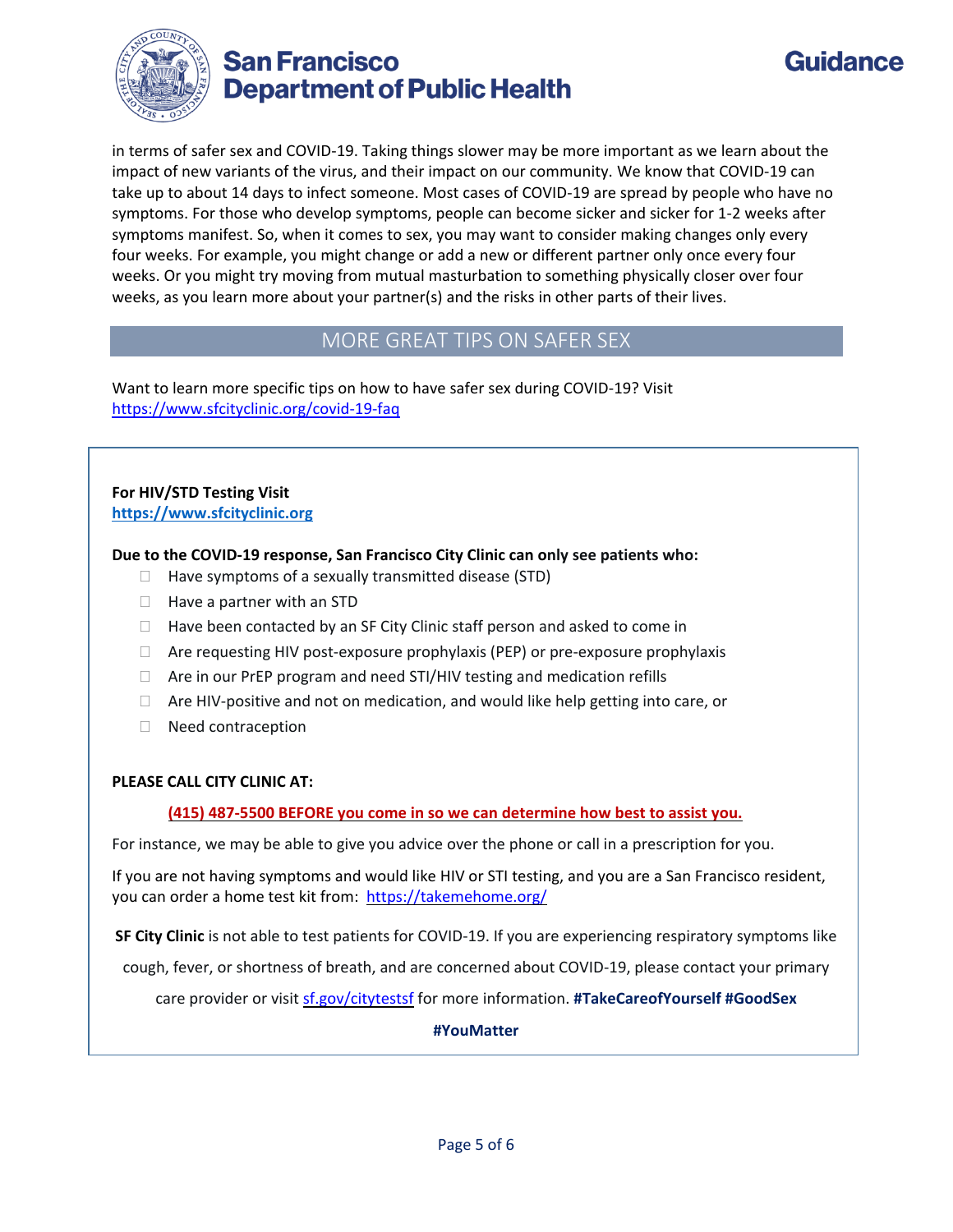



in terms of safer sex and COVID-19. Taking things slower may be more important as we learn about the impact of new variants of the virus, and their impact on our community. We know that COVID-19 can take up to about 14 days to infect someone. Most cases of COVID-19 are spread by people who have no symptoms. For those who develop symptoms, people can become sicker and sicker for 1-2 weeks after symptoms manifest. So, when it comes to sex, you may want to consider making changes only every four weeks. For example, you might change or add a new or different partner only once every four weeks. Or you might try moving from mutual masturbation to something physically closer over four weeks, as you learn more about your partner(s) and the risks in other parts of their lives.

### MORE GREAT TIPS ON SAFER SEX

Want to learn more specific tips on how to have safer sex during COVID-19? Visit <https://www.sfcityclinic.org/covid-19-faq>

#### **For HIV/STD Testing Visit [https://www.sfcityclinic.org](https://www.sfcityclinic.org/)**

**Due to the COVID-19 response, San Francisco City Clinic can only see patients who:**

- $\Box$  Have symptoms of a sexually transmitted disease (STD)
- $\Box$  Have a partner with an STD
- $\Box$  Have been contacted by an SF City Clinic staff person and asked to come in
- $\Box$  Are requesting HIV post-exposure prophylaxis (PEP) or pre-exposure prophylaxis
- $\Box$  Are in our PrEP program and need STI/HIV testing and medication refills
- $\Box$  Are HIV-positive and not on medication, and would like help getting into care, or
- □ Need contraception

#### **PLEASE CALL CITY CLINIC AT:**

#### **(415) 487-5500 BEFORE you come in so we can determine how best to assist you.**

For instance, we may be able to give you advice over the phone or call in a prescription for you.

If you are not having symptoms and would like HIV or STI testing, and you are a San Francisco resident, you can order a home test kit from:<https://takemehome.org/>

**SF City Clinic** is not able to test patients for COVID-19. If you are experiencing respiratory symptoms like

cough, fever, or shortness of breath, and are concerned about COVID-19, please contact your primary

care provider or visit [sf.gov/citytestsf](https://sf.gov/find-out-how-get-tested-coronavirus) for more information. **#TakeCareofYourself #GoodSex**

#### **#YouMatter**